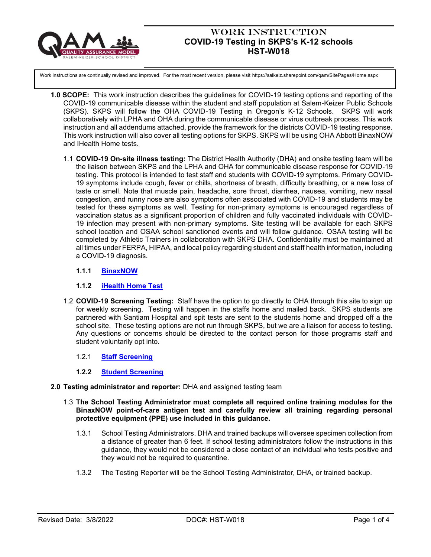

# Work Instruction **COVID-19 Testing in SKPS's K-12 schools HST-W018**

Work instructions are continually revised and improved. For the most recent version, please visit https://salkeiz.sharepoint.com/qam/SitePages/Home.aspx

- **1.0 SCOPE:** This work instruction describes the guidelines for COVID-19 testing options and reporting of the COVID-19 communicable disease within the student and staff population at Salem-Keizer Public Schools (SKPS). SKPS will follow the OHA COVID-19 Testing in Oregon's K-12 Schools. SKPS will work collaboratively with LPHA and OHA during the communicable disease or virus outbreak process. This work instruction and all addendums attached, provide the framework for the districts COVID-19 testing response. This work instruction will also cover all testing options for SKPS. SKPS will be using OHA Abbott BinaxNOW and IHealth Home tests.
	- 1.1 **COVID-19 On-site illness testing:** The District Health Authority (DHA) and onsite testing team will be the liaison between SKPS and the LPHA and OHA for communicable disease response for COVID-19 testing. This protocol is intended to test staff and students with COVID-19 symptoms. Primary COVID-19 symptoms include cough, fever or chills, shortness of breath, difficulty breathing, or a new loss of taste or smell. Note that muscle pain, headache, sore throat, diarrhea, nausea, vomiting, new nasal congestion, and runny nose are also symptoms often associated with COVID-19 and students may be tested for these symptoms as well. Testing for non-primary symptoms is encouraged regardless of vaccination status as a significant proportion of children and fully vaccinated individuals with COVID-19 infection may present with non-primary symptoms. Site testing will be available for each SKPS school location and OSAA school sanctioned events and will follow guidance. OSAA testing will be completed by Athletic Trainers in collaboration with SKPS DHA. Confidentiality must be maintained at all times under FERPA, HIPAA, and local policy regarding student and staff health information, including a COVID-19 diagnosis.

## **1.1.1 [BinaxNOW](https://nam02.safelinks.protection.outlook.com/?url=https%3A%2F%2Fsharedsystems.dhsoha.state.or.us%2FDHSForms%2FServed%2Fle3560.pdf&data=04%7C01%7Cpeterson_jodi%40salkeiz.k12.or.us%7C75340852f158464edec408da01399849%7C4576c5d9511647a380c9cc3eee950210%7C0%7C0%7C637823644122131579%7CUnknown%7CTWFpbGZsb3d8eyJWIjoiMC4wLjAwMDAiLCJQIjoiV2luMzIiLCJBTiI6Ik1haWwiLCJXVCI6Mn0%3D%7C3000&sdata=s2zLkGuD3AUxu0yMimmaayrJ8GR0mMRVNWOWoDL4cVQ%3D&reserved=0)**

# **1.1.2 [iHealth Home Test](https://nam02.safelinks.protection.outlook.com/?url=https%3A%2F%2Fihealthlabs.com%2F&data=04%7C01%7Cpeterson_jodi%40salkeiz.k12.or.us%7C3ac7b926429247e98edd08da0138b50a%7C4576c5d9511647a380c9cc3eee950210%7C0%7C0%7C637823640308974167%7CUnknown%7CTWFpbGZsb3d8eyJWIjoiMC4wLjAwMDAiLCJQIjoiV2luMzIiLCJBTiI6Ik1haWwiLCJXVCI6Mn0%3D%7C3000&sdata=f1OjWPhSZYSny8aMLYO8yhCWkpvBebugnJl0%2FLP2JnI%3D&reserved=0)**

1.2 **COVID-19 Screening Testing:** Staff have the option to go directly to OHA through this site to sign up for weekly screening. Testing will happen in the staffs home and mailed back. SKPS students are partnered with Santiam Hospital and spit tests are sent to the students home and dropped off a the school site. These testing options are not run through SKPS, but we are a liaison for access to testing. Any questions or concerns should be directed to the contact person for those programs staff and student voluntarily opt into.

### 1.2.1 **[Staff Screening](https://sharedsystems.dhsoha.state.or.us/DHSForms/Served/le3877.pdf)**

### **1.2.2 [Student Screening](https://sharedsystems.dhsoha.state.or.us/DHSForms/Served/le3862.pdf)**

### **2.0 Testing administrator and reporter:** DHA and assigned testing team

- 1.3 **The School Testing Administrator must complete all required online training modules for the BinaxNOW point-of-care antigen test and carefully review all training regarding personal protective equipment (PPE) use included in this guidance.**
	- 1.3.1 School Testing Administrators, DHA and trained backups will oversee specimen collection from a distance of greater than 6 feet. If school testing administrators follow the instructions in this guidance, they would not be considered a close contact of an individual who tests positive and they would not be required to quarantine.
	- 1.3.2 The Testing Reporter will be the School Testing Administrator, DHA, or trained backup.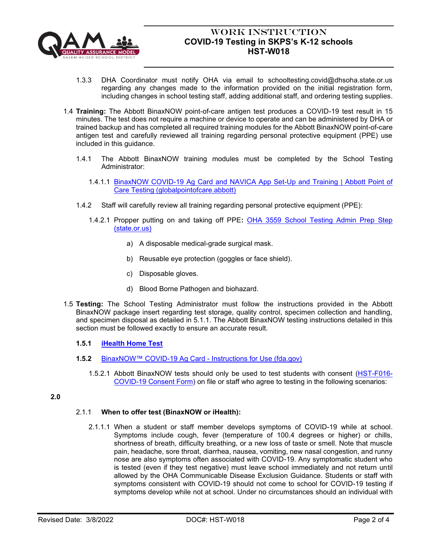

# Work Instruction **COVID-19 Testing in SKPS's K-12 schools HST-W018**

- 1.3.3 DHA Coordinator must notify OHA via email to schooltesting.covid@dhsoha.state.or.us regarding any changes made to the information provided on the initial registration form, including changes in school testing staff, adding additional staff, and ordering testing supplies.
- 1.4 **Training:** The Abbott BinaxNOW point-of-care antigen test produces a COVID-19 test result in 15 minutes. The test does not require a machine or device to operate and can be administered by DHA or trained backup and has completed all required training modules for the Abbott BinaxNOW point-of-care antigen test and carefully reviewed all training regarding personal protective equipment (PPE) use included in this guidance.
	- 1.4.1 The Abbott BinaxNOW training modules must be completed by the School Testing Administrator:
		- 1.4.1.1 [BinaxNOW COVID-19 Ag Card and NAVICA App Set-Up and Training | Abbott Point of](https://www.globalpointofcare.abbott/en/support/product-installation-training/navica-brand/navica-binaxnow-ag-training.html)  [Care Testing \(globalpointofcare.abbott\)](https://www.globalpointofcare.abbott/en/support/product-installation-training/navica-brand/navica-binaxnow-ag-training.html)
	- 1.4.2 Staff will carefully review all training regarding personal protective equipment (PPE):
		- 1.4.2.1 Propper putting on and taking off PPE**:** [OHA 3559 School Testing Admin Prep Step](https://sharedsystems.dhsoha.state.or.us/DHSForms/Served/le3559.pdf)  [\(state.or.us\)](https://sharedsystems.dhsoha.state.or.us/DHSForms/Served/le3559.pdf)
			- a) A disposable medical-grade surgical mask.
			- b) Reusable eye protection (goggles or face shield).
			- c) Disposable gloves.
			- d) Blood Borne Pathogen and biohazard.
- 1.5 **Testing:** The School Testing Administrator must follow the instructions provided in the Abbott BinaxNOW package insert regarding test storage, quality control, specimen collection and handling, and specimen disposal as detailed in 5.1.1. The Abbott BinaxNOW testing instructions detailed in this section must be followed exactly to ensure an accurate result.

# **1.5.1 [iHealth Home Test](https://nam02.safelinks.protection.outlook.com/?url=https%3A%2F%2Fihealthlabs.com%2F&data=04%7C01%7Cpeterson_jodi%40salkeiz.k12.or.us%7C3ac7b926429247e98edd08da0138b50a%7C4576c5d9511647a380c9cc3eee950210%7C0%7C0%7C637823640308974167%7CUnknown%7CTWFpbGZsb3d8eyJWIjoiMC4wLjAwMDAiLCJQIjoiV2luMzIiLCJBTiI6Ik1haWwiLCJXVCI6Mn0%3D%7C3000&sdata=f1OjWPhSZYSny8aMLYO8yhCWkpvBebugnJl0%2FLP2JnI%3D&reserved=0)**

- **1.5.2** [BinaxNOW™ COVID-19 Ag Card -](https://www.fda.gov/media/141570/download) Instructions for Use (fda.gov)
	- 1.5.2.1 Abbott BinaxNOW tests should only be used to test students with consent [\(HST-F016-](https://salkeiz.sharepoint.com/:b:/g/qam/EVwa6RDJWBpHly6y8OYGb58BaNZU_WrWSa_du0zWJev4fA) [COVID-19 Consent Form\)](https://salkeiz.sharepoint.com/:b:/g/qam/EVwa6RDJWBpHly6y8OYGb58BaNZU_WrWSa_du0zWJev4fA) on file or staff who agree to testing in the following scenarios:

## **2.0**

# 2.1.1 **When to offer test (BinaxNOW or iHealth):**

2.1.1.1 When a student or staff member develops symptoms of COVID-19 while at school. Symptoms include cough, fever (temperature of 100.4 degrees or higher) or chills, shortness of breath, difficulty breathing, or a new loss of taste or smell. Note that muscle pain, headache, sore throat, diarrhea, nausea, vomiting, new nasal congestion, and runny nose are also symptoms often associated with COVID-19. Any symptomatic student who is tested (even if they test negative) must leave school immediately and not return until allowed by the OHA Communicable Disease Exclusion Guidance. Students or staff with symptoms consistent with COVID-19 should not come to school for COVID-19 testing if symptoms develop while not at school. Under no circumstances should an individual with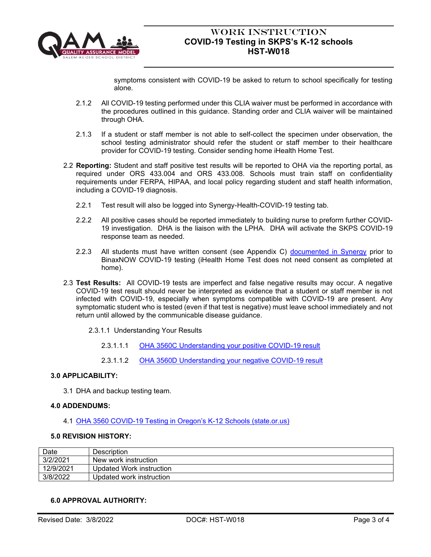

# Work Instruction **COVID-19 Testing in SKPS's K-12 schools HST-W018**

symptoms consistent with COVID-19 be asked to return to school specifically for testing alone.

- 2.1.2 All COVID-19 testing performed under this CLIA waiver must be performed in accordance with the procedures outlined in this guidance. Standing order and CLIA waiver will be maintained through OHA.
- 2.1.3 If a student or staff member is not able to self-collect the specimen under observation, the school testing administrator should refer the student or staff member to their healthcare provider for COVID-19 testing. Consider sending home iHealth Home Test.
- 2.2 **Reporting:** Student and staff positive test results will be reported to OHA via the reporting portal, as required under ORS 433.004 and ORS 433.008. Schools must train staff on confidentiality requirements under FERPA, HIPAA, and local policy regarding student and staff health information, including a COVID-19 diagnosis.
	- 2.2.1 Test result will also be logged into Synergy-Health-COVID-19 testing tab.
	- 2.2.2 All positive cases should be reported immediately to building nurse to preform further COVID-19 investigation. DHA is the liaison with the LPHA. DHA will activate the SKPS COVID-19 response team as needed.
	- 2.2.3 All students must have written consent (see Appendix C) [documented in Synergy](https://salkeiz.sharepoint.com/:b:/g/departments/StudentServices/EbRcXUaK4dBJjm5iZG4mU7QBMvZIUUbE88tA043FY_HrLg?e=hF2n3L) prior to BinaxNOW COVID-19 testing (iHealth Home Test does not need consent as completed at home).
- 2.3 **Test Results:** All COVID-19 tests are imperfect and false negative results may occur. A negative COVID-19 test result should never be interpreted as evidence that a student or staff member is not infected with COVID-19, especially when symptoms compatible with COVID-19 are present. Any symptomatic student who is tested (even if that test is negative) must leave school immediately and not return until allowed by the communicable disease guidance.
	- 2.3.1.1 Understanding Your Results
		- 2.3.1.1.1 [OHA 3560C Understanding your positive COVID-19 result](https://sharedsystems.dhsoha.state.or.us/DHSForms/Served/le3560C.pdf)
		- 2.3.1.1.2 [OHA 3560D Understanding your negative COVID-19 result](https://sharedsystems.dhsoha.state.or.us/DHSForms/Served/le3560D.pdf)

## **3.0 APPLICABILITY:**

3.1 DHA and backup testing team.

## **4.0 ADDENDUMS:**

4.1 [OHA 3560 COVID-19 Testing in Oregon's K-12 Schools \(state.or.us\)](https://sharedsystems.dhsoha.state.or.us/DHSForms/Served/le3560.pdf)

### **5.0 REVISION HISTORY:**

| Date      | Description              |
|-----------|--------------------------|
| 3/2/2021  | New work instruction     |
| 12/9/2021 | Updated Work instruction |
| 3/8/2022  | Updated work instruction |

### **6.0 APPROVAL AUTHORITY:**